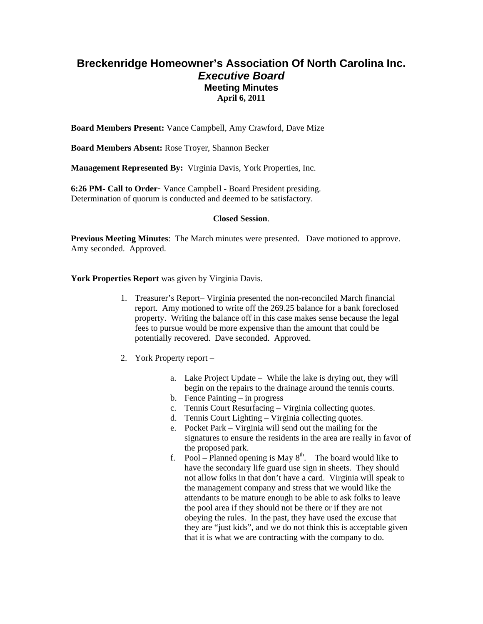# **Breckenridge Homeowner's Association Of North Carolina Inc.**  *Executive Board*  **Meeting Minutes April 6, 2011**

**Board Members Present:** Vance Campbell, Amy Crawford, Dave Mize

**Board Members Absent:** Rose Troyer, Shannon Becker

**Management Represented By:** Virginia Davis, York Properties, Inc.

**6:26 PM- Call to Order**- Vance Campbell - Board President presiding. Determination of quorum is conducted and deemed to be satisfactory.

### **Closed Session**.

**Previous Meeting Minutes**: The March minutes were presented. Dave motioned to approve. Amy seconded. Approved.

**York Properties Report** was given by Virginia Davis.

- 1. Treasurer's Report– Virginia presented the non-reconciled March financial report. Amy motioned to write off the 269.25 balance for a bank foreclosed property. Writing the balance off in this case makes sense because the legal fees to pursue would be more expensive than the amount that could be potentially recovered. Dave seconded. Approved.
- 2. York Property report
	- a. Lake Project Update While the lake is drying out, they will begin on the repairs to the drainage around the tennis courts.
	- b. Fence Painting in progress
	- c. Tennis Court Resurfacing Virginia collecting quotes.
	- d. Tennis Court Lighting Virginia collecting quotes.
	- e. Pocket Park Virginia will send out the mailing for the signatures to ensure the residents in the area are really in favor of the proposed park.
	- f. Pool Planned opening is May  $8<sup>th</sup>$ . The board would like to have the secondary life guard use sign in sheets. They should not allow folks in that don't have a card. Virginia will speak to the management company and stress that we would like the attendants to be mature enough to be able to ask folks to leave the pool area if they should not be there or if they are not obeying the rules. In the past, they have used the excuse that they are "just kids", and we do not think this is acceptable given that it is what we are contracting with the company to do.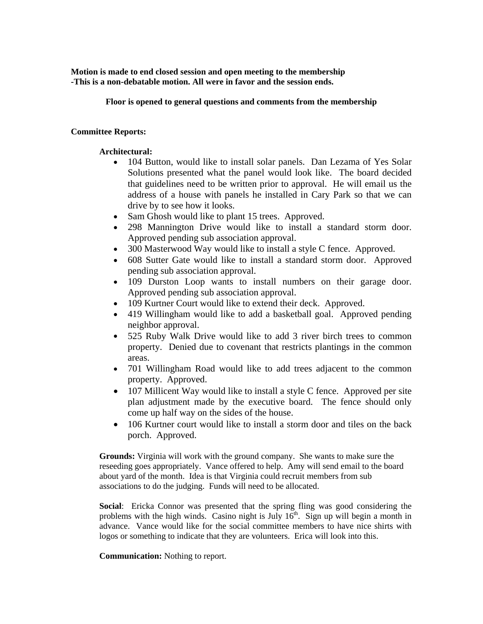**Motion is made to end closed session and open meeting to the membership -This is a non-debatable motion. All were in favor and the session ends.** 

**Floor is opened to general questions and comments from the membership** 

## **Committee Reports:**

## **Architectural:**

- 104 Button, would like to install solar panels. Dan Lezama of Yes Solar Solutions presented what the panel would look like. The board decided that guidelines need to be written prior to approval. He will email us the address of a house with panels he installed in Cary Park so that we can drive by to see how it looks.
- Sam Ghosh would like to plant 15 trees. Approved.
- 298 Mannington Drive would like to install a standard storm door. Approved pending sub association approval.
- 300 Masterwood Way would like to install a style C fence. Approved.
- 608 Sutter Gate would like to install a standard storm door. Approved pending sub association approval.
- 109 Durston Loop wants to install numbers on their garage door. Approved pending sub association approval.
- 109 Kurtner Court would like to extend their deck. Approved.
- 419 Willingham would like to add a basketball goal. Approved pending neighbor approval.
- 525 Ruby Walk Drive would like to add 3 river birch trees to common property. Denied due to covenant that restricts plantings in the common areas.
- 701 Willingham Road would like to add trees adjacent to the common property. Approved.
- 107 Millicent Way would like to install a style C fence. Approved per site plan adjustment made by the executive board. The fence should only come up half way on the sides of the house.
- 106 Kurtner court would like to install a storm door and tiles on the back porch. Approved.

**Grounds:** Virginia will work with the ground company. She wants to make sure the reseeding goes appropriately. Vance offered to help. Amy will send email to the board about yard of the month. Idea is that Virginia could recruit members from sub associations to do the judging. Funds will need to be allocated.

**Social**: Ericka Connor was presented that the spring fling was good considering the problems with the high winds. Casino night is July  $16<sup>th</sup>$ . Sign up will begin a month in advance. Vance would like for the social committee members to have nice shirts with logos or something to indicate that they are volunteers. Erica will look into this.

### **Communication:** Nothing to report.